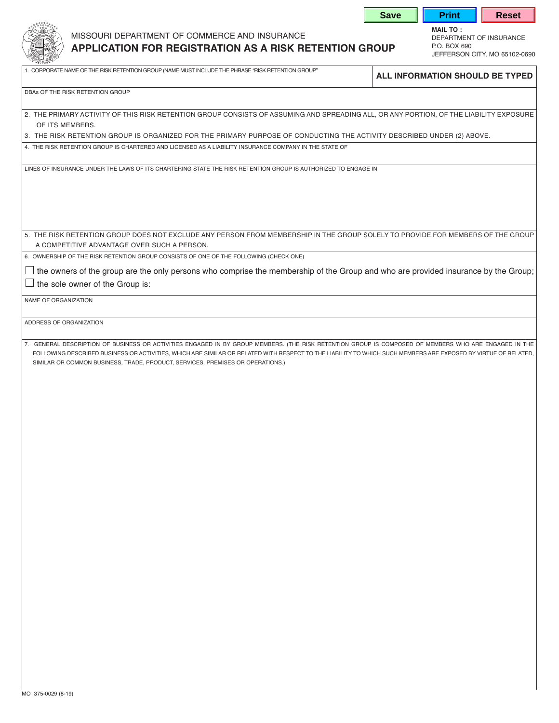|                         |                                                                                                                                                                                                                                  |  |  | JEFFERSON CITY, MO 65102-0690                                                                                                                                                                                                                                                                                           |
|-------------------------|----------------------------------------------------------------------------------------------------------------------------------------------------------------------------------------------------------------------------------|--|--|-------------------------------------------------------------------------------------------------------------------------------------------------------------------------------------------------------------------------------------------------------------------------------------------------------------------------|
|                         | 1. CORPORATE NAME OF THE RISK RETENTION GROUP (NAME MUST INCLUDE THE PHRASE "RISK RETENTION GROUP"                                                                                                                               |  |  | ALL INFORMATION SHOULD BE TYPED                                                                                                                                                                                                                                                                                         |
|                         | DBAs OF THE RISK RETENTION GROUP                                                                                                                                                                                                 |  |  |                                                                                                                                                                                                                                                                                                                         |
| OF ITS MEMBERS.         |                                                                                                                                                                                                                                  |  |  | 2. THE PRIMARY ACTIVITY OF THIS RISK RETENTION GROUP CONSISTS OF ASSUMING AND SPREADING ALL, OR ANY PORTION, OF THE LIABILITY EXPOSURE                                                                                                                                                                                  |
|                         | 3. THE RISK RETENTION GROUP IS ORGANIZED FOR THE PRIMARY PURPOSE OF CONDUCTING THE ACTIVITY DESCRIBED UNDER (2) ABOVE.<br>4. THE RISK RETENTION GROUP IS CHARTERED AND LICENSED AS A LIABILITY INSURANCE COMPANY IN THE STATE OF |  |  |                                                                                                                                                                                                                                                                                                                         |
|                         |                                                                                                                                                                                                                                  |  |  |                                                                                                                                                                                                                                                                                                                         |
|                         | LINES OF INSURANCE UNDER THE LAWS OF ITS CHARTERING STATE THE RISK RETENTION GROUP IS AUTHORIZED TO ENGAGE IN                                                                                                                    |  |  |                                                                                                                                                                                                                                                                                                                         |
|                         |                                                                                                                                                                                                                                  |  |  | 5. THE RISK RETENTION GROUP DOES NOT EXCLUDE ANY PERSON FROM MEMBERSHIP IN THE GROUP SOLELY TO PROVIDE FOR MEMBERS OF THE GROUP                                                                                                                                                                                         |
|                         | A COMPETITIVE ADVANTAGE OVER SUCH A PERSON.                                                                                                                                                                                      |  |  |                                                                                                                                                                                                                                                                                                                         |
|                         | 6. OWNERSHIP OF THE RISK RETENTION GROUP CONSISTS OF ONE OF THE FOLLOWING (CHECK ONE)                                                                                                                                            |  |  |                                                                                                                                                                                                                                                                                                                         |
|                         | the sole owner of the Group is:                                                                                                                                                                                                  |  |  | the owners of the group are the only persons who comprise the membership of the Group and who are provided insurance by the Group;                                                                                                                                                                                      |
| NAME OF ORGANIZATION    |                                                                                                                                                                                                                                  |  |  |                                                                                                                                                                                                                                                                                                                         |
| ADDRESS OF ORGANIZATION |                                                                                                                                                                                                                                  |  |  |                                                                                                                                                                                                                                                                                                                         |
|                         | SIMILAR OR COMMON BUSINESS, TRADE, PRODUCT, SERVICES, PREMISES OR OPERATIONS.)                                                                                                                                                   |  |  | 7. GENERAL DESCRIPTION OF BUSINESS OR ACTIVITIES ENGAGED IN BY GROUP MEMBERS. (THE RISK RETENTION GROUP IS COMPOSED OF MEMBERS WHO ARE ENGAGED IN THE<br>FOLLOWING DESCRIBED BUSINESS OR ACTIVITIES, WHICH ARE SIMILAR OR RELATED WITH RESPECT TO THE LIABILITY TO WHICH SUCH MEMBERS ARE EXPOSED BY VIRTUE OF RELATED, |
|                         |                                                                                                                                                                                                                                  |  |  |                                                                                                                                                                                                                                                                                                                         |
|                         |                                                                                                                                                                                                                                  |  |  |                                                                                                                                                                                                                                                                                                                         |

missouri department of commerce and insurance department of insurance

**MAIL TO :**

**Save | Print | Reset**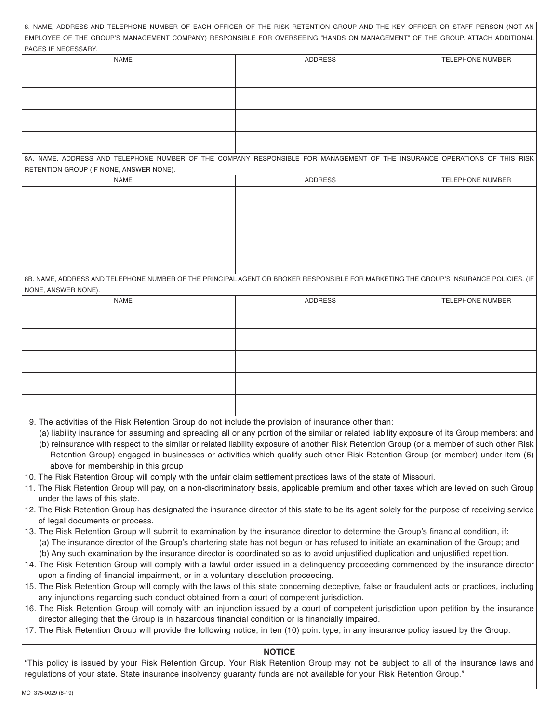| 8. NAME, ADDRESS AND TELEPHONE NUMBER OF EACH OFFICER OF THE RISK RETENTION GROUP AND THE KEY OFFICER OR STAFF PERSON (NOT AN                                                                                                                                                                                                                                           |                |                         |  |  |  |  |  |
|-------------------------------------------------------------------------------------------------------------------------------------------------------------------------------------------------------------------------------------------------------------------------------------------------------------------------------------------------------------------------|----------------|-------------------------|--|--|--|--|--|
| EMPLOYEE OF THE GROUP'S MANAGEMENT COMPANY) RESPONSIBLE FOR OVERSEEING "HANDS ON MANAGEMENT" OF THE GROUP. ATTACH ADDITIONAL<br>PAGES IF NECESSARY.                                                                                                                                                                                                                     |                |                         |  |  |  |  |  |
| <b>NAME</b>                                                                                                                                                                                                                                                                                                                                                             | <b>ADDRESS</b> | <b>TELEPHONE NUMBER</b> |  |  |  |  |  |
|                                                                                                                                                                                                                                                                                                                                                                         |                |                         |  |  |  |  |  |
|                                                                                                                                                                                                                                                                                                                                                                         |                |                         |  |  |  |  |  |
|                                                                                                                                                                                                                                                                                                                                                                         |                |                         |  |  |  |  |  |
|                                                                                                                                                                                                                                                                                                                                                                         |                |                         |  |  |  |  |  |
|                                                                                                                                                                                                                                                                                                                                                                         |                |                         |  |  |  |  |  |
|                                                                                                                                                                                                                                                                                                                                                                         |                |                         |  |  |  |  |  |
| 8A. NAME, ADDRESS AND TELEPHONE NUMBER OF THE COMPANY RESPONSIBLE FOR MANAGEMENT OF THE INSURANCE OPERATIONS OF THIS RISK                                                                                                                                                                                                                                               |                |                         |  |  |  |  |  |
| RETENTION GROUP (IF NONE, ANSWER NONE).                                                                                                                                                                                                                                                                                                                                 |                |                         |  |  |  |  |  |
| <b>NAME</b>                                                                                                                                                                                                                                                                                                                                                             | <b>ADDRESS</b> | <b>TELEPHONE NUMBER</b> |  |  |  |  |  |
|                                                                                                                                                                                                                                                                                                                                                                         |                |                         |  |  |  |  |  |
|                                                                                                                                                                                                                                                                                                                                                                         |                |                         |  |  |  |  |  |
|                                                                                                                                                                                                                                                                                                                                                                         |                |                         |  |  |  |  |  |
|                                                                                                                                                                                                                                                                                                                                                                         |                |                         |  |  |  |  |  |
|                                                                                                                                                                                                                                                                                                                                                                         |                |                         |  |  |  |  |  |
|                                                                                                                                                                                                                                                                                                                                                                         |                |                         |  |  |  |  |  |
|                                                                                                                                                                                                                                                                                                                                                                         |                |                         |  |  |  |  |  |
| 8B. NAME, ADDRESS AND TELEPHONE NUMBER OF THE PRINCIPAL AGENT OR BROKER RESPONSIBLE FOR MARKETING THE GROUP'S INSURANCE POLICIES. (IF                                                                                                                                                                                                                                   |                |                         |  |  |  |  |  |
| NONE, ANSWER NONE).<br><b>NAME</b>                                                                                                                                                                                                                                                                                                                                      | <b>ADDRESS</b> | <b>TELEPHONE NUMBER</b> |  |  |  |  |  |
|                                                                                                                                                                                                                                                                                                                                                                         |                |                         |  |  |  |  |  |
|                                                                                                                                                                                                                                                                                                                                                                         |                |                         |  |  |  |  |  |
|                                                                                                                                                                                                                                                                                                                                                                         |                |                         |  |  |  |  |  |
|                                                                                                                                                                                                                                                                                                                                                                         |                |                         |  |  |  |  |  |
|                                                                                                                                                                                                                                                                                                                                                                         |                |                         |  |  |  |  |  |
|                                                                                                                                                                                                                                                                                                                                                                         |                |                         |  |  |  |  |  |
|                                                                                                                                                                                                                                                                                                                                                                         |                |                         |  |  |  |  |  |
|                                                                                                                                                                                                                                                                                                                                                                         |                |                         |  |  |  |  |  |
|                                                                                                                                                                                                                                                                                                                                                                         |                |                         |  |  |  |  |  |
| 9. The activities of the Risk Retention Group do not include the provision of insurance other than:                                                                                                                                                                                                                                                                     |                |                         |  |  |  |  |  |
| (a) liability insurance for assuming and spreading all or any portion of the similar or related liability exposure of its Group members: and<br>(b) reinsurance with respect to the similar or related liability exposure of another Risk Retention Group (or a member of such other Risk                                                                               |                |                         |  |  |  |  |  |
| Retention Group) engaged in businesses or activities which qualify such other Risk Retention Group (or member) under item (6)                                                                                                                                                                                                                                           |                |                         |  |  |  |  |  |
| above for membership in this group                                                                                                                                                                                                                                                                                                                                      |                |                         |  |  |  |  |  |
| 10. The Risk Retention Group will comply with the unfair claim settlement practices laws of the state of Missouri.                                                                                                                                                                                                                                                      |                |                         |  |  |  |  |  |
| 11. The Risk Retention Group will pay, on a non-discriminatory basis, applicable premium and other taxes which are levied on such Group                                                                                                                                                                                                                                 |                |                         |  |  |  |  |  |
| under the laws of this state.                                                                                                                                                                                                                                                                                                                                           |                |                         |  |  |  |  |  |
| 12. The Risk Retention Group has designated the insurance director of this state to be its agent solely for the purpose of receiving service                                                                                                                                                                                                                            |                |                         |  |  |  |  |  |
| of legal documents or process.<br>13. The Risk Retention Group will submit to examination by the insurance director to determine the Group's financial condition, if:                                                                                                                                                                                                   |                |                         |  |  |  |  |  |
| (a) The insurance director of the Group's chartering state has not begun or has refused to initiate an examination of the Group; and                                                                                                                                                                                                                                    |                |                         |  |  |  |  |  |
| (b) Any such examination by the insurance director is coordinated so as to avoid unjustified duplication and unjustified repetition.                                                                                                                                                                                                                                    |                |                         |  |  |  |  |  |
|                                                                                                                                                                                                                                                                                                                                                                         |                |                         |  |  |  |  |  |
|                                                                                                                                                                                                                                                                                                                                                                         |                |                         |  |  |  |  |  |
| 14. The Risk Retention Group will comply with a lawful order issued in a delinquency proceeding commenced by the insurance director<br>upon a finding of financial impairment, or in a voluntary dissolution proceeding.<br>15. The Risk Retention Group will comply with the laws of this state concerning deceptive, false or fraudulent acts or practices, including |                |                         |  |  |  |  |  |

16. The Risk Retention Group will comply with an injunction issued by a court of competent jurisdiction upon petition by the insurance director alleging that the Group is in hazardous financial condition or is financially impaired.

17. The Risk Retention Group will provide the following notice, in ten (10) point type, in any insurance policy issued by the Group.

## **NOTICE**

"This policy is issued by your Risk Retention Group. Your Risk Retention Group may not be subject to all of the insurance laws and regulations of your state. State insurance insolvency guaranty funds are not available for your Risk Retention Group."